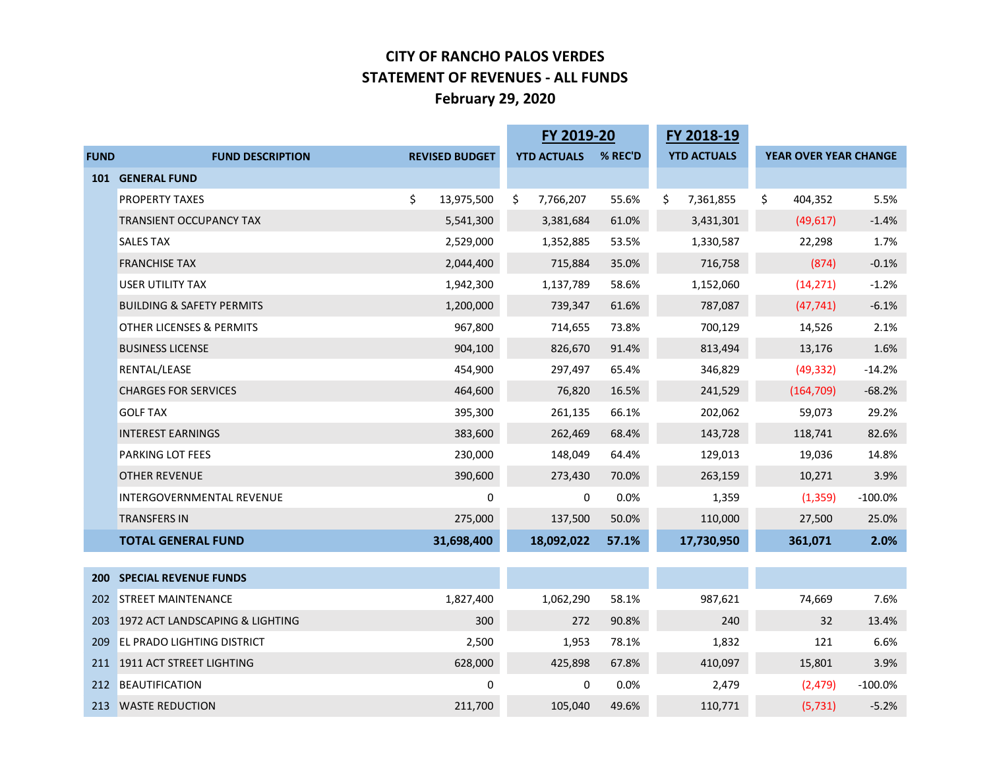#### **CITY OF RANCHO PALOS VERDES STATEMENT OF REVENUES - ALL FUNDS February 29, 2020**

|             |                                      |                       | FY 2019-20         |         | FY 2018-19         |                              |           |
|-------------|--------------------------------------|-----------------------|--------------------|---------|--------------------|------------------------------|-----------|
| <b>FUND</b> | <b>FUND DESCRIPTION</b>              | <b>REVISED BUDGET</b> | <b>YTD ACTUALS</b> | % REC'D | <b>YTD ACTUALS</b> | <b>YEAR OVER YEAR CHANGE</b> |           |
|             | 101 GENERAL FUND                     |                       |                    |         |                    |                              |           |
|             | <b>PROPERTY TAXES</b>                | \$<br>13,975,500      | \$<br>7,766,207    | 55.6%   | \$<br>7,361,855    | \$<br>404,352                | 5.5%      |
|             | <b>TRANSIENT OCCUPANCY TAX</b>       | 5,541,300             | 3,381,684          | 61.0%   | 3,431,301          | (49, 617)                    | $-1.4%$   |
|             | <b>SALES TAX</b>                     | 2,529,000             | 1,352,885          | 53.5%   | 1,330,587          | 22,298                       | 1.7%      |
|             | <b>FRANCHISE TAX</b>                 | 2,044,400             | 715,884            | 35.0%   | 716,758            | (874)                        | $-0.1%$   |
|             | <b>USER UTILITY TAX</b>              | 1,942,300             | 1,137,789          | 58.6%   | 1,152,060          | (14, 271)                    | $-1.2%$   |
|             | <b>BUILDING &amp; SAFETY PERMITS</b> | 1,200,000             | 739,347            | 61.6%   | 787,087            | (47, 741)                    | $-6.1%$   |
|             | <b>OTHER LICENSES &amp; PERMITS</b>  | 967,800               | 714,655            | 73.8%   | 700,129            | 14,526                       | 2.1%      |
|             | <b>BUSINESS LICENSE</b>              | 904,100               | 826,670            | 91.4%   | 813,494            | 13,176                       | 1.6%      |
|             | RENTAL/LEASE                         | 454,900               | 297,497            | 65.4%   | 346,829            | (49, 332)                    | $-14.2%$  |
|             | <b>CHARGES FOR SERVICES</b>          | 464,600               | 76,820             | 16.5%   | 241,529            | (164, 709)                   | $-68.2%$  |
|             | <b>GOLF TAX</b>                      | 395,300               | 261,135            | 66.1%   | 202,062            | 59,073                       | 29.2%     |
|             | <b>INTEREST EARNINGS</b>             | 383,600               | 262,469            | 68.4%   | 143,728            | 118,741                      | 82.6%     |
|             | PARKING LOT FEES                     | 230,000               | 148,049            | 64.4%   | 129,013            | 19,036                       | 14.8%     |
|             | <b>OTHER REVENUE</b>                 | 390,600               | 273,430            | 70.0%   | 263,159            | 10,271                       | 3.9%      |
|             | INTERGOVERNMENTAL REVENUE            | 0                     | 0                  | 0.0%    | 1,359              | (1, 359)                     | $-100.0%$ |
|             | <b>TRANSFERS IN</b>                  | 275,000               | 137,500            | 50.0%   | 110,000            | 27,500                       | 25.0%     |
|             | <b>TOTAL GENERAL FUND</b>            | 31,698,400            | 18,092,022         | 57.1%   | 17,730,950         | 361,071                      | 2.0%      |
|             |                                      |                       |                    |         |                    |                              |           |
| 200         | <b>SPECIAL REVENUE FUNDS</b>         |                       |                    |         |                    |                              |           |
| 202         | <b>STREET MAINTENANCE</b>            | 1,827,400             | 1,062,290          | 58.1%   | 987,621            | 74,669                       | 7.6%      |
| 203         | 1972 ACT LANDSCAPING & LIGHTING      | 300                   | 272                | 90.8%   | 240                | 32                           | 13.4%     |
| 209         | <b>EL PRADO LIGHTING DISTRICT</b>    | 2,500                 | 1,953              | 78.1%   | 1,832              | 121                          | 6.6%      |
| 211         | 1911 ACT STREET LIGHTING             | 628,000               | 425,898            | 67.8%   | 410,097            | 15,801                       | 3.9%      |
|             | 212 BEAUTIFICATION                   | 0                     | 0                  | 0.0%    | 2,479              | (2, 479)                     | $-100.0%$ |
|             | 213 WASTE REDUCTION                  | 211,700               | 105,040            | 49.6%   | 110,771            | (5, 731)                     | $-5.2%$   |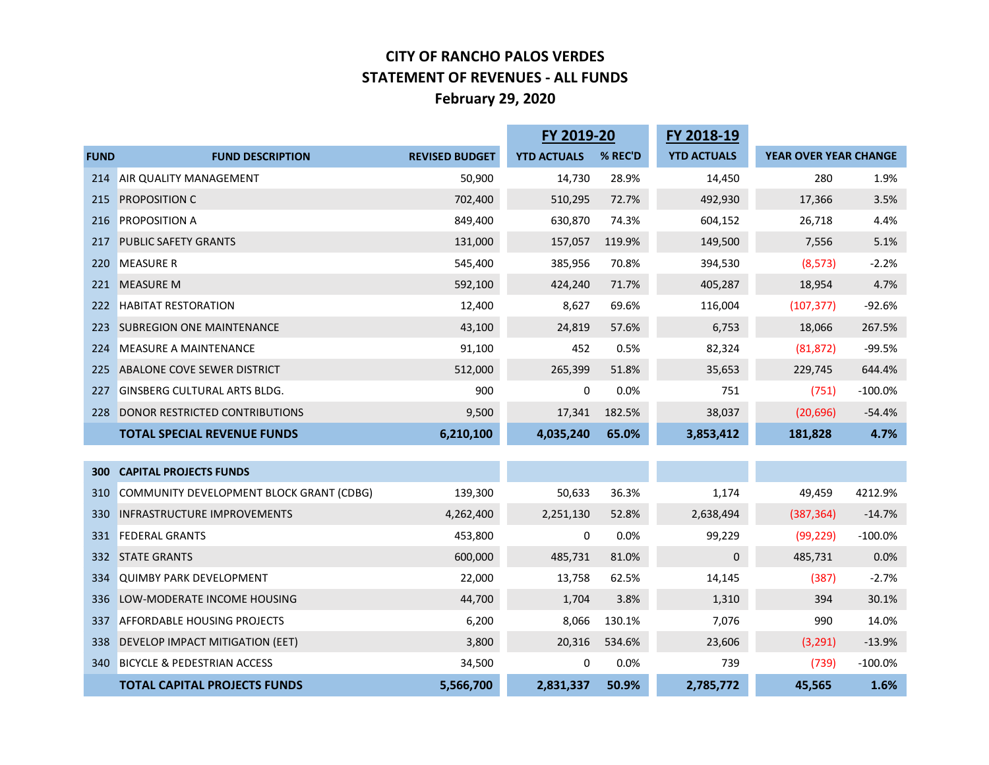#### **CITY OF RANCHO PALOS VERDES STATEMENT OF REVENUES - ALL FUNDS February 29, 2020**

|             |                                          |                       | FY 2019-20         |         | FY 2018-19         |                       |           |
|-------------|------------------------------------------|-----------------------|--------------------|---------|--------------------|-----------------------|-----------|
| <b>FUND</b> | <b>FUND DESCRIPTION</b>                  | <b>REVISED BUDGET</b> | <b>YTD ACTUALS</b> | % REC'D | <b>YTD ACTUALS</b> | YEAR OVER YEAR CHANGE |           |
| 214         | AIR QUALITY MANAGEMENT                   | 50,900                | 14,730             | 28.9%   | 14,450             | 280                   | 1.9%      |
| 215         | <b>PROPOSITION C</b>                     | 702,400               | 510,295            | 72.7%   | 492,930            | 17,366                | 3.5%      |
| 216         | <b>PROPOSITION A</b>                     | 849,400               | 630,870            | 74.3%   | 604,152            | 26,718                | 4.4%      |
| 217         | <b>PUBLIC SAFETY GRANTS</b>              | 131,000               | 157,057            | 119.9%  | 149,500            | 7,556                 | 5.1%      |
| 220         | <b>MEASURE R</b>                         | 545,400               | 385,956            | 70.8%   | 394,530            | (8, 573)              | $-2.2%$   |
| 221         | <b>MEASURE M</b>                         | 592,100               | 424,240            | 71.7%   | 405,287            | 18,954                | 4.7%      |
| 222         | <b>HABITAT RESTORATION</b>               | 12,400                | 8,627              | 69.6%   | 116,004            | (107, 377)            | $-92.6%$  |
| 223         | <b>SUBREGION ONE MAINTENANCE</b>         | 43,100                | 24,819             | 57.6%   | 6,753              | 18,066                | 267.5%    |
| 224         | <b>MEASURE A MAINTENANCE</b>             | 91,100                | 452                | 0.5%    | 82,324             | (81, 872)             | $-99.5%$  |
| 225         | ABALONE COVE SEWER DISTRICT              | 512,000               | 265,399            | 51.8%   | 35,653             | 229,745               | 644.4%    |
| 227         | <b>GINSBERG CULTURAL ARTS BLDG.</b>      | 900                   | 0                  | 0.0%    | 751                | (751)                 | $-100.0%$ |
| 228         | <b>DONOR RESTRICTED CONTRIBUTIONS</b>    | 9,500                 | 17,341             | 182.5%  | 38,037             | (20, 696)             | $-54.4%$  |
|             | <b>TOTAL SPECIAL REVENUE FUNDS</b>       | 6,210,100             | 4,035,240          | 65.0%   | 3,853,412          | 181,828               | 4.7%      |
|             |                                          |                       |                    |         |                    |                       |           |
| 300         | <b>CAPITAL PROJECTS FUNDS</b>            |                       |                    |         |                    |                       |           |
| 310         | COMMUNITY DEVELOPMENT BLOCK GRANT (CDBG) | 139,300               | 50,633             | 36.3%   | 1,174              | 49,459                | 4212.9%   |
| 330         | <b>INFRASTRUCTURE IMPROVEMENTS</b>       | 4,262,400             | 2,251,130          | 52.8%   | 2,638,494          | (387, 364)            | $-14.7%$  |
| 331         | <b>FEDERAL GRANTS</b>                    | 453,800               | 0                  | 0.0%    | 99,229             | (99, 229)             | $-100.0%$ |
| 332         | <b>STATE GRANTS</b>                      | 600,000               | 485,731            | 81.0%   | 0                  | 485,731               | 0.0%      |
| 334         | <b>QUIMBY PARK DEVELOPMENT</b>           | 22,000                | 13,758             | 62.5%   | 14,145             | (387)                 | $-2.7%$   |
| 336         | LOW-MODERATE INCOME HOUSING              | 44,700                | 1,704              | 3.8%    | 1,310              | 394                   | 30.1%     |
| 337         | <b>AFFORDABLE HOUSING PROJECTS</b>       | 6,200                 | 8,066              | 130.1%  | 7,076              | 990                   | 14.0%     |
| 338         | DEVELOP IMPACT MITIGATION (EET)          | 3,800                 | 20,316             | 534.6%  | 23,606             | (3, 291)              | $-13.9%$  |
| 340         | <b>BICYCLE &amp; PEDESTRIAN ACCESS</b>   | 34,500                | 0                  | 0.0%    | 739                | (739)                 | $-100.0%$ |
|             | <b>TOTAL CAPITAL PROJECTS FUNDS</b>      | 5,566,700             | 2,831,337          | 50.9%   | 2,785,772          | 45,565                | 1.6%      |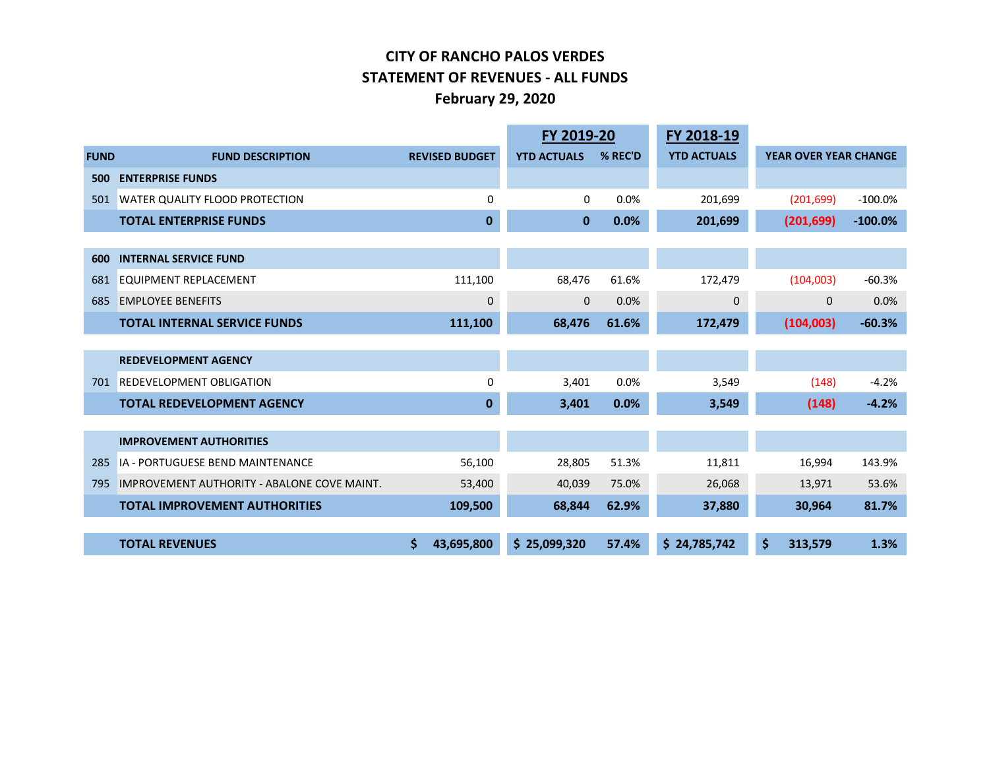#### **CITY OF RANCHO PALOS VERDES STATEMENT OF REVENUES - ALL FUNDS February 29, 2020**

|             |                                             |                       | FY 2019-20         |         | FY 2018-19         |                              |           |
|-------------|---------------------------------------------|-----------------------|--------------------|---------|--------------------|------------------------------|-----------|
| <b>FUND</b> | <b>FUND DESCRIPTION</b>                     | <b>REVISED BUDGET</b> | <b>YTD ACTUALS</b> | % REC'D | <b>YTD ACTUALS</b> | <b>YEAR OVER YEAR CHANGE</b> |           |
| 500         | <b>ENTERPRISE FUNDS</b>                     |                       |                    |         |                    |                              |           |
| 501         | <b>WATER QUALITY FLOOD PROTECTION</b>       | $\Omega$              | $\Omega$           | 0.0%    | 201,699            | (201, 699)                   | $-100.0%$ |
|             | <b>TOTAL ENTERPRISE FUNDS</b>               | $\bf{0}$              | $\bf{0}$           | 0.0%    | 201,699            | (201, 699)                   | $-100.0%$ |
|             |                                             |                       |                    |         |                    |                              |           |
| 600         | <b>INTERNAL SERVICE FUND</b>                |                       |                    |         |                    |                              |           |
| 681         | <b>EQUIPMENT REPLACEMENT</b>                | 111,100               | 68,476             | 61.6%   | 172,479            | (104,003)                    | $-60.3%$  |
| 685         | <b>EMPLOYEE BENEFITS</b>                    | 0                     | $\mathbf{0}$       | 0.0%    | $\mathbf{0}$       | $\mathbf{0}$                 | 0.0%      |
|             | <b>TOTAL INTERNAL SERVICE FUNDS</b>         | 111,100               | 68,476             | 61.6%   | 172,479            | (104,003)                    | $-60.3%$  |
|             |                                             |                       |                    |         |                    |                              |           |
|             | <b>REDEVELOPMENT AGENCY</b>                 |                       |                    |         |                    |                              |           |
| 701         | <b>REDEVELOPMENT OBLIGATION</b>             | $\Omega$              | 3,401              | 0.0%    | 3,549              | (148)                        | $-4.2%$   |
|             | <b>TOTAL REDEVELOPMENT AGENCY</b>           | $\bf{0}$              | 3,401              | 0.0%    | 3,549              | (148)                        | $-4.2%$   |
|             |                                             |                       |                    |         |                    |                              |           |
|             | <b>IMPROVEMENT AUTHORITIES</b>              |                       |                    |         |                    |                              |           |
| 285         | <b>IA - PORTUGUESE BEND MAINTENANCE</b>     | 56,100                | 28,805             | 51.3%   | 11,811             | 16,994                       | 143.9%    |
| 795         | IMPROVEMENT AUTHORITY - ABALONE COVE MAINT. | 53,400                | 40,039             | 75.0%   | 26,068             | 13,971                       | 53.6%     |
|             | <b>TOTAL IMPROVEMENT AUTHORITIES</b>        | 109,500               | 68,844             | 62.9%   | 37,880             | 30,964                       | 81.7%     |
|             |                                             |                       |                    |         |                    |                              |           |
|             | <b>TOTAL REVENUES</b>                       | 43,695,800            | \$25,099,320       | 57.4%   | \$24,785,742       | \$<br>313,579                | 1.3%      |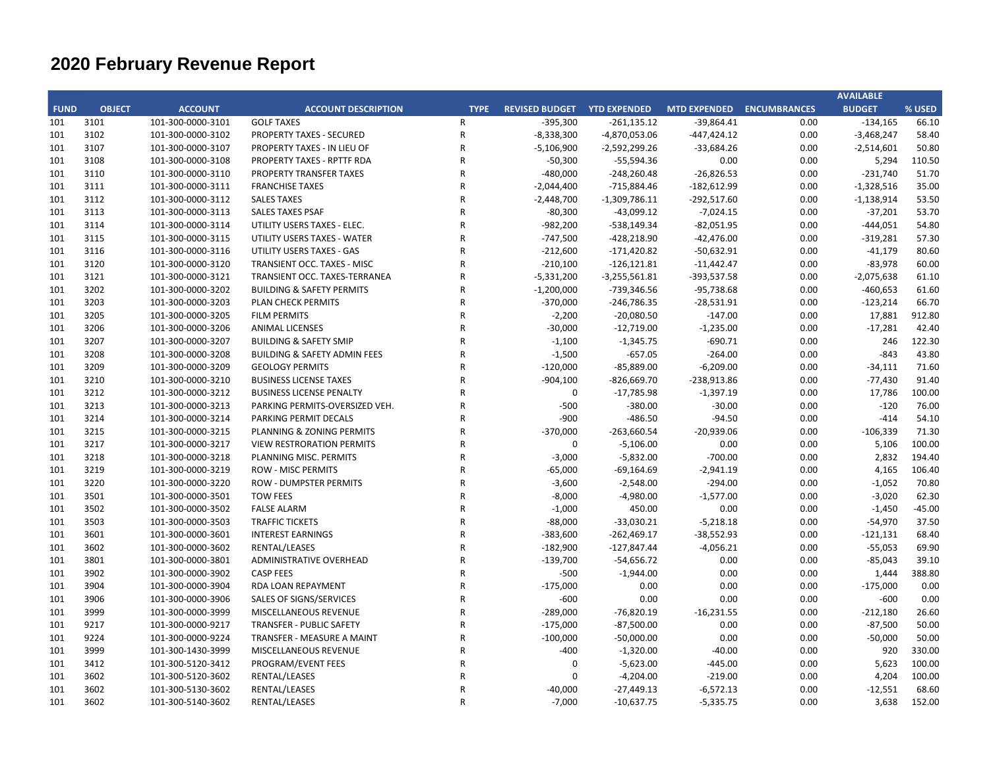|             |               |                   |                                         |                |                             |                 |                           |      | <b>AVAILABLE</b> |          |
|-------------|---------------|-------------------|-----------------------------------------|----------------|-----------------------------|-----------------|---------------------------|------|------------------|----------|
| <b>FUND</b> | <b>OBJECT</b> | <b>ACCOUNT</b>    | <b>ACCOUNT DESCRIPTION</b>              | <b>TYPE</b>    | REVISED BUDGET YTD EXPENDED |                 | MTD EXPENDED ENCUMBRANCES |      | <b>BUDGET</b>    | % USED   |
| 101         | 3101          | 101-300-0000-3101 | <b>GOLF TAXES</b>                       | $\mathsf{R}$   | $-395,300$                  | $-261,135.12$   | $-39,864.41$              | 0.00 | $-134,165$       | 66.10    |
| 101         | 3102          | 101-300-0000-3102 | <b>PROPERTY TAXES - SECURED</b>         | ${\sf R}$      | $-8,338,300$                | -4,870,053.06   | $-447,424.12$             | 0.00 | $-3,468,247$     | 58.40    |
| 101         | 3107          | 101-300-0000-3107 | <b>PROPERTY TAXES - IN LIEU OF</b>      | $\mathsf{R}$   | $-5,106,900$                | $-2,592,299.26$ | $-33,684.26$              | 0.00 | $-2,514,601$     | 50.80    |
| 101         | 3108          | 101-300-0000-3108 | PROPERTY TAXES - RPTTF RDA              | $\mathsf R$    | $-50,300$                   | $-55,594.36$    | 0.00                      | 0.00 | 5,294            | 110.50   |
| 101         | 3110          | 101-300-0000-3110 | PROPERTY TRANSFER TAXES                 | ${\sf R}$      | $-480,000$                  | $-248,260.48$   | $-26,826.53$              | 0.00 | $-231,740$       | 51.70    |
| 101         | 3111          | 101-300-0000-3111 | <b>FRANCHISE TAXES</b>                  | $\mathsf{R}$   | $-2,044,400$                | $-715,884.46$   | $-182,612.99$             | 0.00 | $-1,328,516$     | 35.00    |
| 101         | 3112          | 101-300-0000-3112 | <b>SALES TAXES</b>                      | $\mathsf R$    | $-2,448,700$                | $-1,309,786.11$ | $-292,517.60$             | 0.00 | $-1,138,914$     | 53.50    |
| 101         | 3113          | 101-300-0000-3113 | <b>SALES TAXES PSAF</b>                 | $\mathsf{R}$   | $-80,300$                   | $-43,099.12$    | $-7,024.15$               | 0.00 | $-37,201$        | 53.70    |
| 101         | 3114          | 101-300-0000-3114 | UTILITY USERS TAXES - ELEC.             | $\overline{R}$ | $-982,200$                  | $-538,149.34$   | $-82,051.95$              | 0.00 | $-444,051$       | 54.80    |
| 101         | 3115          | 101-300-0000-3115 | UTILITY USERS TAXES - WATER             | $\mathsf{R}$   | $-747,500$                  | $-428,218.90$   | $-42,476.00$              | 0.00 | $-319,281$       | 57.30    |
| 101         | 3116          | 101-300-0000-3116 | UTILITY USERS TAXES - GAS               | $\mathsf{R}$   | $-212,600$                  | $-171,420.82$   | $-50,632.91$              | 0.00 | $-41,179$        | 80.60    |
| 101         | 3120          | 101-300-0000-3120 | TRANSIENT OCC. TAXES - MISC             | $\mathsf{R}$   | $-210,100$                  | $-126,121.81$   | $-11,442.47$              | 0.00 | $-83,978$        | 60.00    |
| 101         | 3121          | 101-300-0000-3121 | TRANSIENT OCC. TAXES-TERRANEA           | $\mathsf{R}$   | $-5,331,200$                | $-3,255,561.81$ | -393,537.58               | 0.00 | $-2,075,638$     | 61.10    |
| 101         | 3202          | 101-300-0000-3202 | <b>BUILDING &amp; SAFETY PERMITS</b>    | $\mathsf{R}$   | $-1,200,000$                | -739,346.56     | $-95,738.68$              | 0.00 | $-460,653$       | 61.60    |
| 101         | 3203          | 101-300-0000-3203 | PLAN CHECK PERMITS                      | $\mathsf{R}$   | $-370,000$                  | $-246,786.35$   | $-28,531.91$              | 0.00 | $-123,214$       | 66.70    |
| 101         | 3205          | 101-300-0000-3205 | <b>FILM PERMITS</b>                     | $\overline{R}$ | $-2,200$                    | $-20,080.50$    | $-147.00$                 | 0.00 | 17,881           | 912.80   |
| 101         | 3206          | 101-300-0000-3206 | <b>ANIMAL LICENSES</b>                  | $\overline{R}$ | $-30,000$                   | $-12,719.00$    | $-1,235.00$               | 0.00 | $-17,281$        | 42.40    |
| 101         | 3207          | 101-300-0000-3207 | <b>BUILDING &amp; SAFETY SMIP</b>       | $\overline{R}$ | $-1,100$                    | $-1,345.75$     | $-690.71$                 | 0.00 | 246              | 122.30   |
| 101         | 3208          | 101-300-0000-3208 | <b>BUILDING &amp; SAFETY ADMIN FEES</b> | $\mathsf{R}$   | $-1,500$                    | $-657.05$       | $-264.00$                 | 0.00 | $-843$           | 43.80    |
| 101         | 3209          | 101-300-0000-3209 | <b>GEOLOGY PERMITS</b>                  | $\mathsf{R}$   | $-120,000$                  | $-85,889.00$    | $-6,209.00$               | 0.00 | $-34,111$        | 71.60    |
| 101         | 3210          | 101-300-0000-3210 | <b>BUSINESS LICENSE TAXES</b>           | ${\sf R}$      | $-904,100$                  | $-826,669.70$   | -238,913.86               | 0.00 | $-77,430$        | 91.40    |
| 101         | 3212          | 101-300-0000-3212 | <b>BUSINESS LICENSE PENALTY</b>         | $\mathsf{R}$   | $\mathbf 0$                 | $-17,785.98$    | $-1,397.19$               | 0.00 | 17,786           | 100.00   |
| 101         | 3213          | 101-300-0000-3213 | PARKING PERMITS-OVERSIZED VEH.          | $\mathsf{R}$   | $-500$                      | $-380.00$       | $-30.00$                  | 0.00 | $-120$           | 76.00    |
| 101         | 3214          | 101-300-0000-3214 | PARKING PERMIT DECALS                   | $\overline{R}$ | $-900$                      | $-486.50$       | $-94.50$                  | 0.00 | $-414$           | 54.10    |
| 101         | 3215          | 101-300-0000-3215 | PLANNING & ZONING PERMITS               | $\mathsf{R}$   | $-370,000$                  | $-263,660.54$   | $-20,939.06$              | 0.00 | $-106,339$       | 71.30    |
| 101         | 3217          | 101-300-0000-3217 | <b>VIEW RESTRORATION PERMITS</b>        | $\mathsf R$    | $\pmb{0}$                   | $-5,106.00$     | 0.00                      | 0.00 | 5,106            | 100.00   |
| 101         | 3218          | 101-300-0000-3218 | PLANNING MISC. PERMITS                  | $\mathsf{R}$   | $-3,000$                    | $-5,832.00$     | $-700.00$                 | 0.00 | 2,832            | 194.40   |
| 101         | 3219          | 101-300-0000-3219 | <b>ROW - MISC PERMITS</b>               | ${\sf R}$      | $-65,000$                   | $-69,164.69$    | $-2,941.19$               | 0.00 | 4,165            | 106.40   |
| 101         | 3220          | 101-300-0000-3220 | <b>ROW - DUMPSTER PERMITS</b>           | $\mathsf{R}$   | $-3,600$                    | $-2,548.00$     | $-294.00$                 | 0.00 | $-1,052$         | 70.80    |
| 101         | 3501          | 101-300-0000-3501 | <b>TOW FEES</b>                         | $\mathsf R$    | $-8,000$                    | $-4,980.00$     | $-1,577.00$               | 0.00 | $-3,020$         | 62.30    |
| 101         | 3502          | 101-300-0000-3502 | <b>FALSE ALARM</b>                      | $\mathsf{R}$   | $-1,000$                    | 450.00          | 0.00                      | 0.00 | $-1,450$         | $-45.00$ |
| 101         | 3503          | 101-300-0000-3503 | <b>TRAFFIC TICKETS</b>                  | $\overline{R}$ | $-88,000$                   | $-33,030.21$    | $-5,218.18$               | 0.00 | $-54,970$        | 37.50    |
| 101         | 3601          | 101-300-0000-3601 | <b>INTEREST EARNINGS</b>                | $\mathsf{R}$   | $-383,600$                  | $-262,469.17$   | $-38,552.93$              | 0.00 | $-121,131$       | 68.40    |
| 101         | 3602          | 101-300-0000-3602 | RENTAL/LEASES                           | $\mathsf{R}$   | $-182,900$                  | $-127,847.44$   | $-4,056.21$               | 0.00 | $-55,053$        | 69.90    |
| 101         | 3801          | 101-300-0000-3801 | ADMINISTRATIVE OVERHEAD                 | $\mathsf R$    | $-139,700$                  | $-54,656.72$    | 0.00                      | 0.00 | $-85,043$        | 39.10    |
| 101         | 3902          | 101-300-0000-3902 | <b>CASP FEES</b>                        | ${\sf R}$      | -500                        | $-1,944.00$     | 0.00                      | 0.00 | 1,444            | 388.80   |
| 101         | 3904          | 101-300-0000-3904 | RDA LOAN REPAYMENT                      | $\mathsf R$    | $-175,000$                  | 0.00            | 0.00                      | 0.00 | $-175,000$       | 0.00     |
| 101         | 3906          | 101-300-0000-3906 | SALES OF SIGNS/SERVICES                 | $\mathsf{R}$   | $-600$                      | 0.00            | 0.00                      | 0.00 | $-600$           | 0.00     |
| 101         | 3999          | 101-300-0000-3999 | MISCELLANEOUS REVENUE                   | $\overline{R}$ | $-289,000$                  | $-76,820.19$    | $-16,231.55$              | 0.00 | $-212,180$       | 26.60    |
| 101         | 9217          | 101-300-0000-9217 | <b>TRANSFER - PUBLIC SAFETY</b>         | $\mathsf{R}$   | $-175,000$                  | $-87,500.00$    | 0.00                      | 0.00 | $-87,500$        | 50.00    |
| 101         | 9224          | 101-300-0000-9224 | TRANSFER - MEASURE A MAINT              | $\mathsf{R}$   | $-100,000$                  | $-50,000.00$    | 0.00                      | 0.00 | $-50,000$        | 50.00    |
| 101         | 3999          | 101-300-1430-3999 | MISCELLANEOUS REVENUE                   | $\mathsf{R}$   | $-400$                      | $-1,320.00$     | $-40.00$                  | 0.00 | 920              | 330.00   |
| 101         | 3412          | 101-300-5120-3412 | PROGRAM/EVENT FEES                      | $\mathsf{R}$   | $\pmb{0}$                   | $-5,623.00$     | $-445.00$                 | 0.00 | 5,623            | 100.00   |
| 101         | 3602          | 101-300-5120-3602 | RENTAL/LEASES                           | $\mathsf{R}$   | $\mathbf 0$                 | $-4,204.00$     | $-219.00$                 | 0.00 | 4,204            | 100.00   |
| 101         | 3602          | 101-300-5130-3602 | RENTAL/LEASES                           | $\mathsf{R}$   | $-40,000$                   | $-27,449.13$    | $-6,572.13$               | 0.00 | $-12,551$        | 68.60    |
| 101         | 3602          | 101-300-5140-3602 | RENTAL/LEASES                           | $\mathsf{R}$   | $-7,000$                    | $-10,637.75$    | $-5,335.75$               | 0.00 | 3,638            | 152.00   |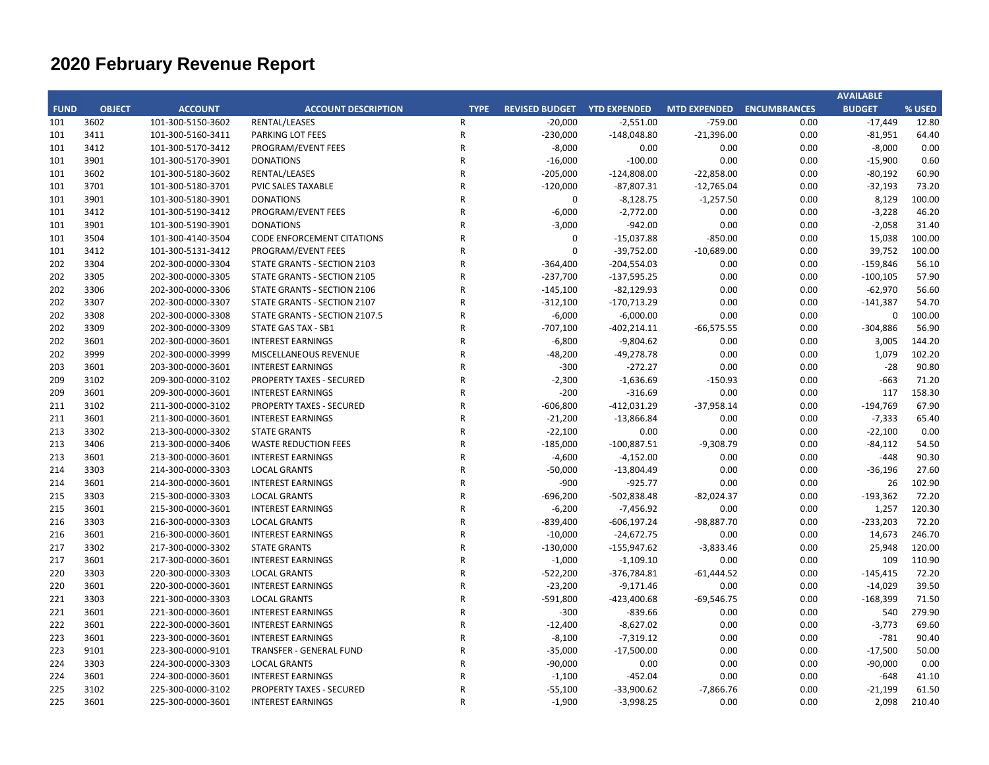|             |               |                   |                                   |                |                             |                |                           |      | <b>AVAILABLE</b> |        |
|-------------|---------------|-------------------|-----------------------------------|----------------|-----------------------------|----------------|---------------------------|------|------------------|--------|
| <b>FUND</b> | <b>OBJECT</b> | <b>ACCOUNT</b>    | <b>ACCOUNT DESCRIPTION</b>        | <b>TYPE</b>    | REVISED BUDGET YTD EXPENDED |                | MTD EXPENDED ENCUMBRANCES |      | <b>BUDGET</b>    | % USED |
| 101         | 3602          | 101-300-5150-3602 | RENTAL/LEASES                     | $\mathsf{R}$   | $-20,000$                   | $-2,551.00$    | $-759.00$                 | 0.00 | $-17,449$        | 12.80  |
| 101         | 3411          | 101-300-5160-3411 | PARKING LOT FEES                  | ${\sf R}$      | $-230,000$                  | $-148,048.80$  | $-21,396.00$              | 0.00 | $-81,951$        | 64.40  |
| 101         | 3412          | 101-300-5170-3412 | PROGRAM/EVENT FEES                | $\mathsf{R}$   | $-8,000$                    | 0.00           | 0.00                      | 0.00 | $-8,000$         | 0.00   |
| 101         | 3901          | 101-300-5170-3901 | <b>DONATIONS</b>                  | $\mathsf{R}$   | $-16,000$                   | $-100.00$      | 0.00                      | 0.00 | $-15,900$        | 0.60   |
| 101         | 3602          | 101-300-5180-3602 | RENTAL/LEASES                     | $\overline{R}$ | $-205,000$                  | $-124,808.00$  | $-22,858.00$              | 0.00 | $-80,192$        | 60.90  |
| 101         | 3701          | 101-300-5180-3701 | PVIC SALES TAXABLE                | $\mathsf{R}$   | $-120,000$                  | $-87,807.31$   | $-12,765.04$              | 0.00 | $-32,193$        | 73.20  |
| 101         | 3901          | 101-300-5180-3901 | <b>DONATIONS</b>                  | $\mathsf{R}$   | $\mathbf 0$                 | $-8,128.75$    | $-1,257.50$               | 0.00 | 8,129            | 100.00 |
| 101         | 3412          | 101-300-5190-3412 | PROGRAM/EVENT FEES                | $\overline{R}$ | $-6,000$                    | $-2,772.00$    | 0.00                      | 0.00 | $-3,228$         | 46.20  |
| 101         | 3901          | 101-300-5190-3901 | <b>DONATIONS</b>                  | $\overline{R}$ | $-3,000$                    | $-942.00$      | 0.00                      | 0.00 | $-2,058$         | 31.40  |
| 101         | 3504          | 101-300-4140-3504 | <b>CODE ENFORCEMENT CITATIONS</b> | $\overline{R}$ | $\Omega$                    | $-15,037.88$   | $-850.00$                 | 0.00 | 15,038           | 100.00 |
| 101         | 3412          | 101-300-5131-3412 | PROGRAM/EVENT FEES                | $\mathsf{R}$   | $\Omega$                    | $-39,752.00$   | $-10,689.00$              | 0.00 | 39,752           | 100.00 |
| 202         | 3304          | 202-300-0000-3304 | STATE GRANTS - SECTION 2103       | $\overline{R}$ | $-364,400$                  | $-204,554.03$  | 0.00                      | 0.00 | $-159,846$       | 56.10  |
| 202         | 3305          | 202-300-0000-3305 | STATE GRANTS - SECTION 2105       | $\mathsf{R}$   | $-237,700$                  | $-137,595.25$  | 0.00                      | 0.00 | $-100,105$       | 57.90  |
| 202         | 3306          | 202-300-0000-3306 | STATE GRANTS - SECTION 2106       | $\mathsf{R}$   | $-145,100$                  | $-82,129.93$   | 0.00                      | 0.00 | $-62,970$        | 56.60  |
| 202         | 3307          | 202-300-0000-3307 | STATE GRANTS - SECTION 2107       | $\mathsf{R}$   | $-312,100$                  | $-170,713.29$  | 0.00                      | 0.00 | $-141,387$       | 54.70  |
| 202         | 3308          | 202-300-0000-3308 | STATE GRANTS - SECTION 2107.5     | $\mathsf{R}$   | $-6,000$                    | $-6,000.00$    | 0.00                      | 0.00 | 0                | 100.00 |
| 202         | 3309          | 202-300-0000-3309 | STATE GAS TAX - SB1               | $\overline{R}$ | $-707,100$                  | $-402,214.11$  | $-66,575.55$              | 0.00 | $-304,886$       | 56.90  |
| 202         | 3601          | 202-300-0000-3601 | <b>INTEREST EARNINGS</b>          | $\mathsf{R}$   | $-6,800$                    | $-9,804.62$    | 0.00                      | 0.00 | 3,005            | 144.20 |
| 202         | 3999          | 202-300-0000-3999 | MISCELLANEOUS REVENUE             | $\overline{R}$ | $-48,200$                   | $-49,278.78$   | 0.00                      | 0.00 | 1,079            | 102.20 |
| 203         | 3601          | 203-300-0000-3601 | <b>INTEREST EARNINGS</b>          | $\overline{R}$ | $-300$                      | $-272.27$      | 0.00                      | 0.00 | $-28$            | 90.80  |
| 209         | 3102          | 209-300-0000-3102 | PROPERTY TAXES - SECURED          | $\overline{R}$ | $-2,300$                    | $-1,636.69$    | $-150.93$                 | 0.00 | $-663$           | 71.20  |
| 209         | 3601          | 209-300-0000-3601 | <b>INTEREST EARNINGS</b>          | $\mathsf{R}$   | $-200$                      | $-316.69$      | 0.00                      | 0.00 | 117              | 158.30 |
| 211         | 3102          | 211-300-0000-3102 | <b>PROPERTY TAXES - SECURED</b>   | $\mathsf{R}$   | $-606,800$                  | $-412,031.29$  | $-37,958.14$              | 0.00 | $-194,769$       | 67.90  |
| 211         | 3601          | 211-300-0000-3601 | <b>INTEREST EARNINGS</b>          | $\overline{R}$ | $-21,200$                   | $-13,866.84$   | 0.00                      | 0.00 | $-7,333$         | 65.40  |
| 213         | 3302          | 213-300-0000-3302 | <b>STATE GRANTS</b>               | $\mathsf{R}$   | $-22,100$                   | 0.00           | 0.00                      | 0.00 | $-22,100$        | 0.00   |
| 213         | 3406          | 213-300-0000-3406 | <b>WASTE REDUCTION FEES</b>       | $\overline{R}$ | $-185,000$                  | $-100,887.51$  | $-9,308.79$               | 0.00 | $-84,112$        | 54.50  |
| 213         | 3601          | 213-300-0000-3601 | <b>INTEREST EARNINGS</b>          | $\mathsf{R}$   | $-4,600$                    | $-4,152.00$    | 0.00                      | 0.00 | $-448$           | 90.30  |
| 214         | 3303          | 214-300-0000-3303 | <b>LOCAL GRANTS</b>               | $\overline{R}$ | $-50,000$                   | $-13,804.49$   | 0.00                      | 0.00 | $-36,196$        | 27.60  |
| 214         | 3601          | 214-300-0000-3601 | <b>INTEREST EARNINGS</b>          | $\mathsf{R}$   | $-900$                      | $-925.77$      | 0.00                      | 0.00 | 26               | 102.90 |
| 215         | 3303          | 215-300-0000-3303 | <b>LOCAL GRANTS</b>               | $\mathsf{R}$   | $-696,200$                  | $-502,838.48$  | $-82,024.37$              | 0.00 | $-193,362$       | 72.20  |
| 215         | 3601          | 215-300-0000-3601 | <b>INTEREST EARNINGS</b>          | $\mathsf{R}$   | $-6,200$                    | $-7,456.92$    | 0.00                      | 0.00 | 1,257            | 120.30 |
| 216         | 3303          | 216-300-0000-3303 | <b>LOCAL GRANTS</b>               | $\overline{R}$ | $-839,400$                  | $-606, 197.24$ | -98,887.70                | 0.00 | $-233,203$       | 72.20  |
| 216         | 3601          | 216-300-0000-3601 | <b>INTEREST EARNINGS</b>          | $\overline{R}$ | $-10,000$                   | $-24,672.75$   | 0.00                      | 0.00 | 14,673           | 246.70 |
| 217         | 3302          | 217-300-0000-3302 | <b>STATE GRANTS</b>               | $\mathsf{R}$   | $-130,000$                  | $-155,947.62$  | $-3,833.46$               | 0.00 | 25,948           | 120.00 |
| 217         | 3601          | 217-300-0000-3601 | <b>INTEREST EARNINGS</b>          | $\overline{R}$ | $-1,000$                    | $-1,109.10$    | 0.00                      | 0.00 | 109              | 110.90 |
| 220         | 3303          | 220-300-0000-3303 | <b>LOCAL GRANTS</b>               | $\overline{R}$ | $-522,200$                  | $-376,784.81$  | $-61,444.52$              | 0.00 | $-145,415$       | 72.20  |
| 220         | 3601          | 220-300-0000-3601 | <b>INTEREST EARNINGS</b>          | $\mathsf{R}$   | $-23,200$                   | $-9,171.46$    | 0.00                      | 0.00 | $-14,029$        | 39.50  |
| 221         | 3303          | 221-300-0000-3303 | <b>LOCAL GRANTS</b>               | $\mathsf{R}$   | $-591,800$                  | $-423,400.68$  | $-69,546.75$              | 0.00 | $-168,399$       | 71.50  |
| 221         | 3601          | 221-300-0000-3601 | <b>INTEREST EARNINGS</b>          | $\mathsf{R}$   | $-300$                      | $-839.66$      | 0.00                      | 0.00 | 540              | 279.90 |
| 222         | 3601          | 222-300-0000-3601 | <b>INTEREST EARNINGS</b>          | $\overline{R}$ | $-12,400$                   | $-8,627.02$    | 0.00                      | 0.00 | $-3,773$         | 69.60  |
| 223         | 3601          | 223-300-0000-3601 | <b>INTEREST EARNINGS</b>          | $\overline{R}$ | $-8,100$                    | $-7,319.12$    | 0.00                      | 0.00 | $-781$           | 90.40  |
| 223         | 9101          | 223-300-0000-9101 | TRANSFER - GENERAL FUND           | $\overline{R}$ | $-35,000$                   | $-17,500.00$   | 0.00                      | 0.00 | $-17,500$        | 50.00  |
| 224         | 3303          | 224-300-0000-3303 | <b>LOCAL GRANTS</b>               | $\overline{R}$ | $-90,000$                   | 0.00           | 0.00                      | 0.00 | $-90,000$        | 0.00   |
| 224         | 3601          | 224-300-0000-3601 | <b>INTEREST EARNINGS</b>          | R              | $-1,100$                    | $-452.04$      | 0.00                      | 0.00 | $-648$           | 41.10  |
| 225         | 3102          | 225-300-0000-3102 | <b>PROPERTY TAXES - SECURED</b>   | $\overline{R}$ | $-55,100$                   | $-33,900.62$   | $-7,866.76$               | 0.00 | $-21,199$        | 61.50  |
| 225         | 3601          | 225-300-0000-3601 | <b>INTEREST EARNINGS</b>          | $\mathsf{R}$   | $-1,900$                    | $-3,998.25$    | 0.00                      | 0.00 | 2,098            | 210.40 |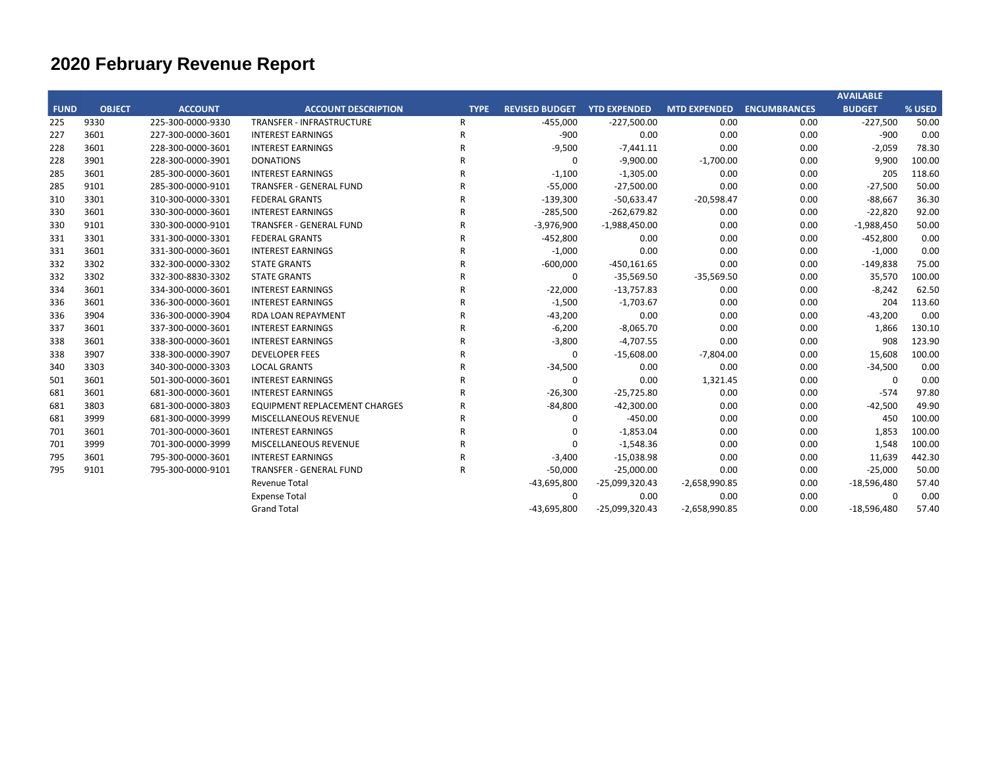|             |               |                   |                                      |              |                       |                     |                     |                     | <b>AVAILABLE</b> |        |
|-------------|---------------|-------------------|--------------------------------------|--------------|-----------------------|---------------------|---------------------|---------------------|------------------|--------|
| <b>FUND</b> | <b>OBJECT</b> | <b>ACCOUNT</b>    | <b>ACCOUNT DESCRIPTION</b>           | <b>TYPE</b>  | <b>REVISED BUDGET</b> | <b>YTD EXPENDED</b> | <b>MTD EXPENDED</b> | <b>ENCUMBRANCES</b> | <b>BUDGET</b>    | % USED |
| 225         | 9330          | 225-300-0000-9330 | <b>TRANSFER - INFRASTRUCTURE</b>     | R            | $-455,000$            | $-227,500.00$       | 0.00                | 0.00                | $-227,500$       | 50.00  |
| 227         | 3601          | 227-300-0000-3601 | <b>INTEREST EARNINGS</b>             | R            | $-900$                | 0.00                | 0.00                | 0.00                | $-900$           | 0.00   |
| 228         | 3601          | 228-300-0000-3601 | <b>INTEREST EARNINGS</b>             | $\mathsf{R}$ | $-9,500$              | $-7,441.11$         | 0.00                | 0.00                | $-2,059$         | 78.30  |
| 228         | 3901          | 228-300-0000-3901 | <b>DONATIONS</b>                     | R            | 0                     | $-9,900.00$         | $-1,700.00$         | 0.00                | 9,900            | 100.00 |
| 285         | 3601          | 285-300-0000-3601 | <b>INTEREST EARNINGS</b>             | R            | $-1,100$              | $-1,305.00$         | 0.00                | 0.00                | 205              | 118.60 |
| 285         | 9101          | 285-300-0000-9101 | <b>TRANSFER - GENERAL FUND</b>       |              | $-55,000$             | $-27,500.00$        | 0.00                | 0.00                | $-27,500$        | 50.00  |
| 310         | 3301          | 310-300-0000-3301 | <b>FEDERAL GRANTS</b>                | R            | $-139,300$            | $-50,633.47$        | $-20,598.47$        | 0.00                | $-88,667$        | 36.30  |
| 330         | 3601          | 330-300-0000-3601 | <b>INTEREST EARNINGS</b>             | R            | $-285,500$            | $-262,679.82$       | 0.00                | 0.00                | $-22,820$        | 92.00  |
| 330         | 9101          | 330-300-0000-9101 | <b>TRANSFER - GENERAL FUND</b>       | R            | $-3,976,900$          | $-1,988,450.00$     | 0.00                | 0.00                | $-1,988,450$     | 50.00  |
| 331         | 3301          | 331-300-0000-3301 | <b>FEDERAL GRANTS</b>                | R            | $-452,800$            | 0.00                | 0.00                | 0.00                | $-452,800$       | 0.00   |
| 331         | 3601          | 331-300-0000-3601 | <b>INTEREST EARNINGS</b>             | R            | $-1,000$              | 0.00                | 0.00                | 0.00                | $-1,000$         | 0.00   |
| 332         | 3302          | 332-300-0000-3302 | <b>STATE GRANTS</b>                  | R            | $-600,000$            | $-450,161.65$       | 0.00                | 0.00                | $-149,838$       | 75.00  |
| 332         | 3302          | 332-300-8830-3302 | <b>STATE GRANTS</b>                  | R            | 0                     | $-35,569.50$        | $-35,569.50$        | 0.00                | 35,570           | 100.00 |
| 334         | 3601          | 334-300-0000-3601 | <b>INTEREST EARNINGS</b>             | R            | $-22,000$             | $-13,757.83$        | 0.00                | 0.00                | $-8,242$         | 62.50  |
| 336         | 3601          | 336-300-0000-3601 | <b>INTEREST EARNINGS</b>             | R            | $-1,500$              | $-1,703.67$         | 0.00                | 0.00                | 204              | 113.60 |
| 336         | 3904          | 336-300-0000-3904 | RDA LOAN REPAYMENT                   | R            | $-43,200$             | 0.00                | 0.00                | 0.00                | $-43,200$        | 0.00   |
| 337         | 3601          | 337-300-0000-3601 | <b>INTEREST EARNINGS</b>             | R            | $-6,200$              | $-8,065.70$         | 0.00                | 0.00                | 1,866            | 130.10 |
| 338         | 3601          | 338-300-0000-3601 | <b>INTEREST EARNINGS</b>             | R            | $-3,800$              | $-4,707.55$         | 0.00                | 0.00                | 908              | 123.90 |
| 338         | 3907          | 338-300-0000-3907 | <b>DEVELOPER FEES</b>                | R            | 0                     | $-15,608.00$        | $-7,804.00$         | 0.00                | 15,608           | 100.00 |
| 340         | 3303          | 340-300-0000-3303 | <b>LOCAL GRANTS</b>                  | R            | $-34,500$             | 0.00                | 0.00                | 0.00                | $-34,500$        | 0.00   |
| 501         | 3601          | 501-300-0000-3601 | <b>INTEREST EARNINGS</b>             | R            | $\mathbf 0$           | 0.00                | 1,321.45            | 0.00                | $\Omega$         | 0.00   |
| 681         | 3601          | 681-300-0000-3601 | <b>INTEREST EARNINGS</b>             | R            | $-26,300$             | $-25,725.80$        | 0.00                | 0.00                | $-574$           | 97.80  |
| 681         | 3803          | 681-300-0000-3803 | <b>EQUIPMENT REPLACEMENT CHARGES</b> | R            | $-84,800$             | $-42,300.00$        | 0.00                | 0.00                | $-42,500$        | 49.90  |
| 681         | 3999          | 681-300-0000-3999 | MISCELLANEOUS REVENUE                | R            | 0                     | $-450.00$           | 0.00                | 0.00                | 450              | 100.00 |
| 701         | 3601          | 701-300-0000-3601 | <b>INTEREST EARNINGS</b>             | R            | 0                     | $-1,853.04$         | 0.00                | 0.00                | 1,853            | 100.00 |
| 701         | 3999          | 701-300-0000-3999 | MISCELLANEOUS REVENUE                | R            | $\mathbf 0$           | $-1,548.36$         | 0.00                | 0.00                | 1,548            | 100.00 |
| 795         | 3601          | 795-300-0000-3601 | <b>INTEREST EARNINGS</b>             | R            | $-3,400$              | $-15,038.98$        | 0.00                | 0.00                | 11,639           | 442.30 |
| 795         | 9101          | 795-300-0000-9101 | <b>TRANSFER - GENERAL FUND</b>       | R            | $-50,000$             | $-25,000.00$        | 0.00                | 0.00                | $-25,000$        | 50.00  |
|             |               |                   | Revenue Total                        |              | $-43,695,800$         | -25,099,320.43      | $-2,658,990.85$     | 0.00                | $-18,596,480$    | 57.40  |
|             |               |                   | <b>Expense Total</b>                 |              | $\mathbf 0$           | 0.00                | 0.00                | 0.00                | $\mathbf 0$      | 0.00   |
|             |               |                   | <b>Grand Total</b>                   |              | $-43,695,800$         | -25,099,320.43      | $-2,658,990.85$     | 0.00                | $-18,596,480$    | 57.40  |
|             |               |                   |                                      |              |                       |                     |                     |                     |                  |        |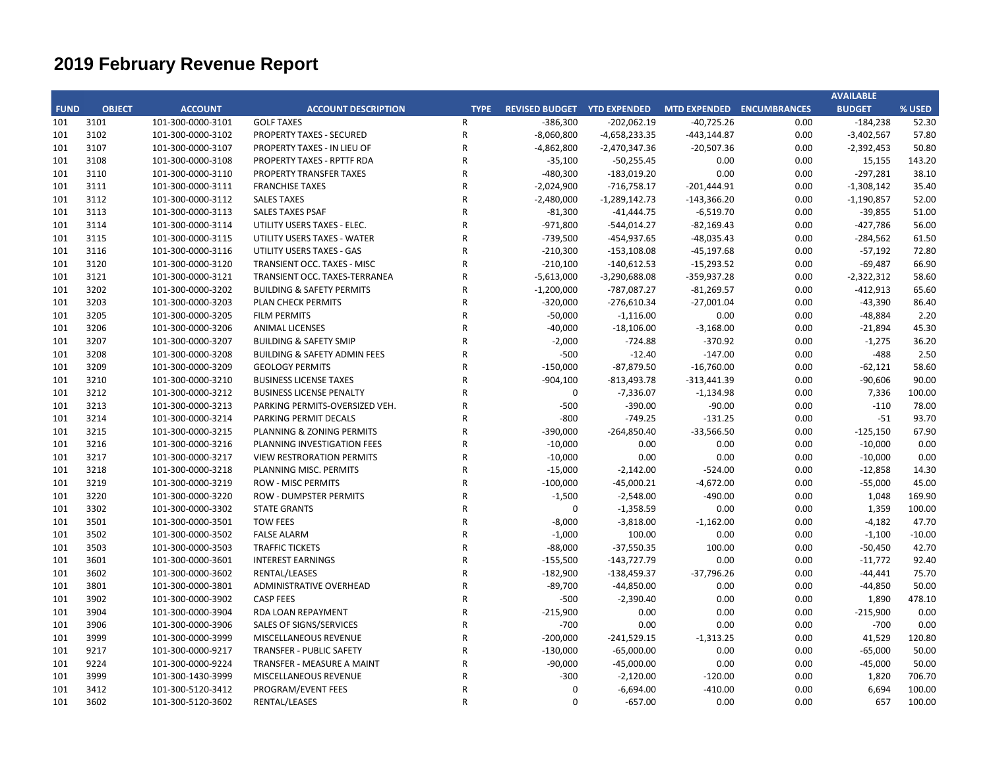|             |               |                   |                                         |              |                                                                |                 |                |      | <b>AVAILABLE</b> |          |
|-------------|---------------|-------------------|-----------------------------------------|--------------|----------------------------------------------------------------|-----------------|----------------|------|------------------|----------|
| <b>FUND</b> | <b>OBJECT</b> | <b>ACCOUNT</b>    | <b>ACCOUNT DESCRIPTION</b>              |              | TYPE  REVISED BUDGET  YTD EXPENDED  MTD EXPENDED  ENCUMBRANCES |                 |                |      | <b>BUDGET</b>    | % USED   |
| 101         | 3101          | 101-300-0000-3101 | <b>GOLF TAXES</b>                       | $\mathsf{R}$ | $-386,300$                                                     | $-202,062.19$   | $-40,725.26$   | 0.00 | $-184,238$       | 52.30    |
| 101         | 3102          | 101-300-0000-3102 | PROPERTY TAXES - SECURED                | ${\sf R}$    | $-8,060,800$                                                   | $-4,658,233.35$ | $-443, 144.87$ | 0.00 | $-3,402,567$     | 57.80    |
| 101         | 3107          | 101-300-0000-3107 | <b>PROPERTY TAXES - IN LIEU OF</b>      | $\mathsf{R}$ | $-4,862,800$                                                   | $-2,470,347.36$ | $-20,507.36$   | 0.00 | $-2,392,453$     | 50.80    |
| 101         | 3108          | 101-300-0000-3108 | PROPERTY TAXES - RPTTF RDA              | R            | $-35,100$                                                      | $-50,255.45$    | 0.00           | 0.00 | 15,155           | 143.20   |
| 101         | 3110          | 101-300-0000-3110 | PROPERTY TRANSFER TAXES                 | R            | $-480,300$                                                     | $-183,019.20$   | 0.00           | 0.00 | $-297,281$       | 38.10    |
| 101         | 3111          | 101-300-0000-3111 | <b>FRANCHISE TAXES</b>                  | R            | $-2,024,900$                                                   | $-716,758.17$   | $-201,444.91$  | 0.00 | $-1,308,142$     | 35.40    |
| 101         | 3112          | 101-300-0000-3112 | <b>SALES TAXES</b>                      | $\mathsf{R}$ | $-2,480,000$                                                   | $-1,289,142.73$ | $-143,366.20$  | 0.00 | $-1,190,857$     | 52.00    |
| 101         | 3113          | 101-300-0000-3113 | <b>SALES TAXES PSAF</b>                 | R            | $-81,300$                                                      | $-41,444.75$    | $-6,519.70$    | 0.00 | $-39,855$        | 51.00    |
| 101         | 3114          | 101-300-0000-3114 | UTILITY USERS TAXES - ELEC.             | R            | $-971,800$                                                     | $-544,014.27$   | $-82,169.43$   | 0.00 | $-427,786$       | 56.00    |
| 101         | 3115          | 101-300-0000-3115 | UTILITY USERS TAXES - WATER             | R            | $-739,500$                                                     | $-454,937.65$   | $-48,035.43$   | 0.00 | $-284,562$       | 61.50    |
| 101         | 3116          | 101-300-0000-3116 | UTILITY USERS TAXES - GAS               | $\mathsf{R}$ | $-210,300$                                                     | $-153,108.08$   | $-45,197.68$   | 0.00 | $-57,192$        | 72.80    |
| 101         | 3120          | 101-300-0000-3120 | TRANSIENT OCC. TAXES - MISC             | R            | $-210,100$                                                     | $-140,612.53$   | $-15,293.52$   | 0.00 | $-69,487$        | 66.90    |
| 101         | 3121          | 101-300-0000-3121 | TRANSIENT OCC. TAXES-TERRANEA           | $\mathsf{R}$ | $-5,613,000$                                                   | $-3,290,688.08$ | -359,937.28    | 0.00 | $-2,322,312$     | 58.60    |
| 101         | 3202          | 101-300-0000-3202 | <b>BUILDING &amp; SAFETY PERMITS</b>    | R            | $-1,200,000$                                                   | $-787,087.27$   | $-81,269.57$   | 0.00 | $-412,913$       | 65.60    |
| 101         | 3203          | 101-300-0000-3203 | <b>PLAN CHECK PERMITS</b>               | $\mathsf{R}$ | $-320,000$                                                     | $-276,610.34$   | $-27,001.04$   | 0.00 | $-43,390$        | 86.40    |
| 101         | 3205          | 101-300-0000-3205 | <b>FILM PERMITS</b>                     | R            | $-50,000$                                                      | $-1,116.00$     | 0.00           | 0.00 | $-48,884$        | 2.20     |
| 101         | 3206          | 101-300-0000-3206 | <b>ANIMAL LICENSES</b>                  | R            | $-40,000$                                                      | $-18,106.00$    | $-3,168.00$    | 0.00 | $-21,894$        | 45.30    |
| 101         | 3207          | 101-300-0000-3207 | <b>BUILDING &amp; SAFETY SMIP</b>       | R            | $-2,000$                                                       | $-724.88$       | $-370.92$      | 0.00 | $-1,275$         | 36.20    |
| 101         | 3208          | 101-300-0000-3208 | <b>BUILDING &amp; SAFETY ADMIN FEES</b> | R            | $-500$                                                         | $-12.40$        | $-147.00$      | 0.00 | $-488$           | 2.50     |
| 101         | 3209          | 101-300-0000-3209 | <b>GEOLOGY PERMITS</b>                  | R            | $-150,000$                                                     | $-87,879.50$    | $-16,760.00$   | 0.00 | $-62,121$        | 58.60    |
| 101         | 3210          | 101-300-0000-3210 | <b>BUSINESS LICENSE TAXES</b>           | $\mathsf{R}$ | $-904,100$                                                     | $-813,493.78$   | $-313,441.39$  | 0.00 | $-90,606$        | 90.00    |
| 101         | 3212          | 101-300-0000-3212 | <b>BUSINESS LICENSE PENALTY</b>         | $\mathsf{R}$ | $\mathbf 0$                                                    | $-7,336.07$     | $-1,134.98$    | 0.00 | 7,336            | 100.00   |
| 101         | 3213          | 101-300-0000-3213 | PARKING PERMITS-OVERSIZED VEH.          | R            | $-500$                                                         | $-390.00$       | $-90.00$       | 0.00 | $-110$           | 78.00    |
| 101         | 3214          | 101-300-0000-3214 | PARKING PERMIT DECALS                   | R            | $-800$                                                         | $-749.25$       | $-131.25$      | 0.00 | $-51$            | 93.70    |
| 101         | 3215          | 101-300-0000-3215 | PLANNING & ZONING PERMITS               | R            | $-390,000$                                                     | $-264,850.40$   | $-33,566.50$   | 0.00 | $-125,150$       | 67.90    |
| 101         | 3216          | 101-300-0000-3216 | PLANNING INVESTIGATION FEES             | R            | $-10,000$                                                      | 0.00            | 0.00           | 0.00 | $-10,000$        | 0.00     |
| 101         | 3217          | 101-300-0000-3217 | <b>VIEW RESTRORATION PERMITS</b>        | R            | $-10,000$                                                      | 0.00            | 0.00           | 0.00 | $-10,000$        | 0.00     |
| 101         | 3218          | 101-300-0000-3218 | PLANNING MISC. PERMITS                  | R            | $-15,000$                                                      | $-2,142.00$     | $-524.00$      | 0.00 | $-12,858$        | 14.30    |
| 101         | 3219          | 101-300-0000-3219 | <b>ROW - MISC PERMITS</b>               | R            | $-100,000$                                                     | -45,000.21      | $-4,672.00$    | 0.00 | $-55,000$        | 45.00    |
| 101         | 3220          | 101-300-0000-3220 | <b>ROW - DUMPSTER PERMITS</b>           | R            | $-1,500$                                                       | $-2,548.00$     | $-490.00$      | 0.00 | 1,048            | 169.90   |
| 101         | 3302          | 101-300-0000-3302 | <b>STATE GRANTS</b>                     | R            | $\mathbf 0$                                                    | $-1,358.59$     | 0.00           | 0.00 | 1,359            | 100.00   |
| 101         | 3501          | 101-300-0000-3501 | <b>TOW FEES</b>                         | R            | $-8,000$                                                       | $-3,818.00$     | -1,162.00      | 0.00 | -4,182           | 47.70    |
| 101         | 3502          | 101-300-0000-3502 | <b>FALSE ALARM</b>                      | R            | $-1,000$                                                       | 100.00          | 0.00           | 0.00 | $-1,100$         | $-10.00$ |
| 101         | 3503          | 101-300-0000-3503 | <b>TRAFFIC TICKETS</b>                  | R            | $-88,000$                                                      | $-37,550.35$    | 100.00         | 0.00 | $-50,450$        | 42.70    |
| 101         | 3601          | 101-300-0000-3601 | <b>INTEREST EARNINGS</b>                | $\mathsf{R}$ | $-155,500$                                                     | $-143,727.79$   | 0.00           | 0.00 | $-11,772$        | 92.40    |
| 101         | 3602          | 101-300-0000-3602 | RENTAL/LEASES                           | R            | $-182,900$                                                     | -138,459.37     | $-37,796.26$   | 0.00 | $-44,441$        | 75.70    |
| 101         | 3801          | 101-300-0000-3801 | ADMINISTRATIVE OVERHEAD                 | $\mathsf{R}$ | $-89,700$                                                      | $-44,850.00$    | 0.00           | 0.00 | $-44,850$        | 50.00    |
| 101         | 3902          | 101-300-0000-3902 | <b>CASP FEES</b>                        | $\mathsf{R}$ | $-500$                                                         | $-2,390.40$     | 0.00           | 0.00 | 1,890            | 478.10   |
| 101         | 3904          | 101-300-0000-3904 | RDA LOAN REPAYMENT                      | ${\sf R}$    | $-215,900$                                                     | 0.00            | 0.00           | 0.00 | $-215,900$       | 0.00     |
| 101         | 3906          | 101-300-0000-3906 | SALES OF SIGNS/SERVICES                 | R            | $-700$                                                         | 0.00            | 0.00           | 0.00 | $-700$           | 0.00     |
| 101         | 3999          | 101-300-0000-3999 | MISCELLANEOUS REVENUE                   | $\mathsf{R}$ | $-200,000$                                                     | $-241,529.15$   | $-1,313.25$    | 0.00 | 41,529           | 120.80   |
| 101         | 9217          | 101-300-0000-9217 | <b>TRANSFER - PUBLIC SAFETY</b>         | R            | $-130,000$                                                     | $-65,000.00$    | 0.00           | 0.00 | $-65,000$        | 50.00    |
| 101         | 9224          | 101-300-0000-9224 | <b>TRANSFER - MEASURE A MAINT</b>       | $\mathsf{R}$ | $-90,000$                                                      | $-45,000.00$    | 0.00           | 0.00 | $-45,000$        | 50.00    |
| 101         | 3999          | 101-300-1430-3999 | MISCELLANEOUS REVENUE                   | R            | $-300$                                                         | $-2,120.00$     | $-120.00$      | 0.00 | 1,820            | 706.70   |
| 101         | 3412          | 101-300-5120-3412 | PROGRAM/EVENT FEES                      | R            | $\Omega$                                                       | $-6,694.00$     | $-410.00$      | 0.00 | 6,694            | 100.00   |
| 101         | 3602          | 101-300-5120-3602 | RENTAL/LEASES                           | $\mathsf{R}$ | $\mathbf 0$                                                    | $-657.00$       | 0.00           | 0.00 | 657              | 100.00   |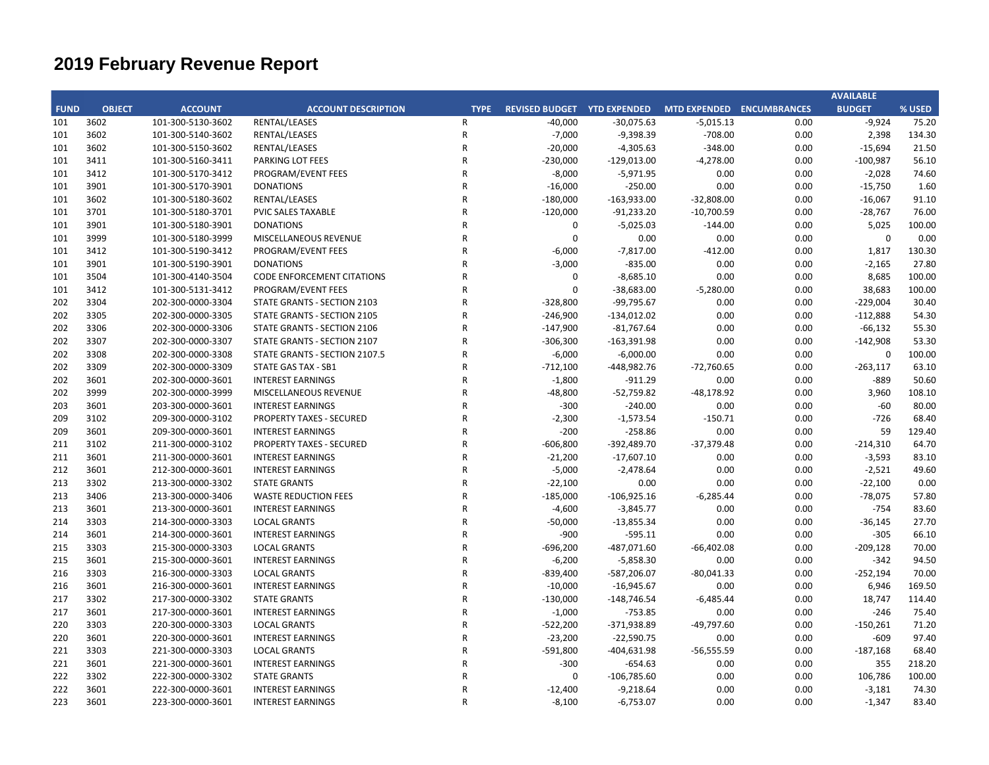|             |               |                   |                                    |              |                                                       |               |              |      | <b>AVAILABLE</b> |        |
|-------------|---------------|-------------------|------------------------------------|--------------|-------------------------------------------------------|---------------|--------------|------|------------------|--------|
| <b>FUND</b> | <b>OBJECT</b> | <b>ACCOUNT</b>    | <b>ACCOUNT DESCRIPTION</b>         | <b>TYPE</b>  | REVISED BUDGET YTD EXPENDED MTD EXPENDED ENCUMBRANCES |               |              |      | <b>BUDGET</b>    | % USED |
| 101         | 3602          | 101-300-5130-3602 | RENTAL/LEASES                      | R            | $-40,000$                                             | $-30,075.63$  | $-5,015.13$  | 0.00 | $-9,924$         | 75.20  |
| 101         | 3602          | 101-300-5140-3602 | RENTAL/LEASES                      | ${\sf R}$    | $-7,000$                                              | $-9,398.39$   | $-708.00$    | 0.00 | 2,398            | 134.30 |
| 101         | 3602          | 101-300-5150-3602 | RENTAL/LEASES                      | R            | $-20,000$                                             | $-4,305.63$   | $-348.00$    | 0.00 | $-15,694$        | 21.50  |
| 101         | 3411          | 101-300-5160-3411 | PARKING LOT FEES                   | R            | $-230,000$                                            | $-129,013.00$ | $-4,278.00$  | 0.00 | $-100,987$       | 56.10  |
| 101         | 3412          | 101-300-5170-3412 | PROGRAM/EVENT FEES                 | R            | $-8,000$                                              | $-5,971.95$   | 0.00         | 0.00 | $-2,028$         | 74.60  |
| 101         | 3901          | 101-300-5170-3901 | <b>DONATIONS</b>                   | R            | $-16,000$                                             | $-250.00$     | 0.00         | 0.00 | $-15,750$        | 1.60   |
| 101         | 3602          | 101-300-5180-3602 | RENTAL/LEASES                      | $\mathsf{R}$ | $-180,000$                                            | $-163,933.00$ | $-32,808.00$ | 0.00 | $-16,067$        | 91.10  |
| 101         | 3701          | 101-300-5180-3701 | PVIC SALES TAXABLE                 | $\mathsf{R}$ | $-120,000$                                            | $-91,233.20$  | $-10,700.59$ | 0.00 | $-28,767$        | 76.00  |
| 101         | 3901          | 101-300-5180-3901 | <b>DONATIONS</b>                   | $\mathsf{R}$ | 0                                                     | $-5,025.03$   | $-144.00$    | 0.00 | 5,025            | 100.00 |
| 101         | 3999          | 101-300-5180-3999 | MISCELLANEOUS REVENUE              | R            | $\Omega$                                              | 0.00          | 0.00         | 0.00 | $\mathbf 0$      | 0.00   |
| 101         | 3412          | 101-300-5190-3412 | PROGRAM/EVENT FEES                 | R            | $-6,000$                                              | $-7,817.00$   | $-412.00$    | 0.00 | 1,817            | 130.30 |
| 101         | 3901          | 101-300-5190-3901 | <b>DONATIONS</b>                   | R            | $-3,000$                                              | $-835.00$     | 0.00         | 0.00 | $-2,165$         | 27.80  |
| 101         | 3504          | 101-300-4140-3504 | <b>CODE ENFORCEMENT CITATIONS</b>  | R            | 0                                                     | $-8,685.10$   | 0.00         | 0.00 | 8,685            | 100.00 |
| 101         | 3412          | 101-300-5131-3412 | PROGRAM/EVENT FEES                 | $\mathsf{R}$ | $\Omega$                                              | $-38,683.00$  | $-5,280.00$  | 0.00 | 38,683           | 100.00 |
| 202         | 3304          | 202-300-0000-3304 | STATE GRANTS - SECTION 2103        | $\mathsf{R}$ | $-328,800$                                            | -99,795.67    | 0.00         | 0.00 | $-229,004$       | 30.40  |
| 202         | 3305          | 202-300-0000-3305 | <b>STATE GRANTS - SECTION 2105</b> | $\mathsf{R}$ | $-246,900$                                            | $-134,012.02$ | 0.00         | 0.00 | $-112,888$       | 54.30  |
| 202         | 3306          | 202-300-0000-3306 | STATE GRANTS - SECTION 2106        | R            | $-147,900$                                            | $-81,767.64$  | 0.00         | 0.00 | $-66,132$        | 55.30  |
| 202         | 3307          | 202-300-0000-3307 | STATE GRANTS - SECTION 2107        | R            | $-306,300$                                            | $-163,391.98$ | 0.00         | 0.00 | $-142,908$       | 53.30  |
| 202         | 3308          | 202-300-0000-3308 | STATE GRANTS - SECTION 2107.5      | R            | $-6,000$                                              | $-6,000.00$   | 0.00         | 0.00 | $\mathbf 0$      | 100.00 |
| 202         | 3309          | 202-300-0000-3309 | <b>STATE GAS TAX - SB1</b>         | $\mathsf{R}$ | $-712,100$                                            | -448,982.76   | $-72,760.65$ | 0.00 | $-263,117$       | 63.10  |
| 202         | 3601          | 202-300-0000-3601 | <b>INTEREST EARNINGS</b>           | R            | $-1,800$                                              | $-911.29$     | 0.00         | 0.00 | $-889$           | 50.60  |
| 202         | 3999          | 202-300-0000-3999 | MISCELLANEOUS REVENUE              | $\mathsf{R}$ | $-48,800$                                             | $-52,759.82$  | $-48,178.92$ | 0.00 | 3,960            | 108.10 |
| 203         | 3601          | 203-300-0000-3601 | <b>INTEREST EARNINGS</b>           | R            | $-300$                                                | $-240.00$     | 0.00         | 0.00 | $-60$            | 80.00  |
| 209         | 3102          | 209-300-0000-3102 | <b>PROPERTY TAXES - SECURED</b>    | R            | $-2,300$                                              | $-1,573.54$   | $-150.71$    | 0.00 | $-726$           | 68.40  |
| 209         | 3601          | 209-300-0000-3601 | <b>INTEREST EARNINGS</b>           | R            | $-200$                                                | $-258.86$     | 0.00         | 0.00 | 59               | 129.40 |
| 211         | 3102          | 211-300-0000-3102 | <b>PROPERTY TAXES - SECURED</b>    | R            | $-606,800$                                            | -392,489.70   | $-37,379.48$ | 0.00 | $-214,310$       | 64.70  |
| 211         | 3601          | 211-300-0000-3601 | <b>INTEREST EARNINGS</b>           | R            | $-21,200$                                             | $-17,607.10$  | 0.00         | 0.00 | $-3,593$         | 83.10  |
| 212         | 3601          | 212-300-0000-3601 | <b>INTEREST EARNINGS</b>           | $\mathsf{R}$ | $-5,000$                                              | $-2,478.64$   | 0.00         | 0.00 | $-2,521$         | 49.60  |
| 213         | 3302          | 213-300-0000-3302 | <b>STATE GRANTS</b>                | R            | $-22,100$                                             | 0.00          | 0.00         | 0.00 | $-22,100$        | 0.00   |
| 213         | 3406          | 213-300-0000-3406 | <b>WASTE REDUCTION FEES</b>        | $\mathsf{R}$ | $-185,000$                                            | $-106,925.16$ | $-6,285.44$  | 0.00 | $-78,075$        | 57.80  |
| 213         | 3601          | 213-300-0000-3601 | <b>INTEREST EARNINGS</b>           | R            | $-4,600$                                              | $-3,845.77$   | 0.00         | 0.00 | $-754$           | 83.60  |
| 214         | 3303          | 214-300-0000-3303 | <b>LOCAL GRANTS</b>                | R            | $-50,000$                                             | $-13,855.34$  | 0.00         | 0.00 | $-36,145$        | 27.70  |
| 214         | 3601          | 214-300-0000-3601 | <b>INTEREST EARNINGS</b>           | R            | $-900$                                                | $-595.11$     | 0.00         | 0.00 | $-305$           | 66.10  |
| 215         | 3303          | 215-300-0000-3303 | <b>LOCAL GRANTS</b>                | R            | $-696,200$                                            | $-487,071.60$ | $-66,402.08$ | 0.00 | $-209,128$       | 70.00  |
| 215         | 3601          | 215-300-0000-3601 | <b>INTEREST EARNINGS</b>           | R            | $-6,200$                                              | $-5,858.30$   | 0.00         | 0.00 | $-342$           | 94.50  |
| 216         | 3303          | 216-300-0000-3303 | <b>LOCAL GRANTS</b>                | $\mathsf{R}$ | $-839,400$                                            | -587,206.07   | $-80,041.33$ | 0.00 | $-252,194$       | 70.00  |
| 216         | 3601          | 216-300-0000-3601 | <b>INTEREST EARNINGS</b>           | R            | $-10,000$                                             | $-16,945.67$  | 0.00         | 0.00 | 6,946            | 169.50 |
| 217         | 3302          | 217-300-0000-3302 | <b>STATE GRANTS</b>                | $\mathsf{R}$ | $-130,000$                                            | $-148,746.54$ | $-6,485.44$  | 0.00 | 18,747           | 114.40 |
| 217         | 3601          | 217-300-0000-3601 | <b>INTEREST EARNINGS</b>           | R            | $-1,000$                                              | $-753.85$     | 0.00         | 0.00 | $-246$           | 75.40  |
| 220         | 3303          | 220-300-0000-3303 | <b>LOCAL GRANTS</b>                | R            | $-522,200$                                            | -371,938.89   | $-49,797.60$ | 0.00 | $-150,261$       | 71.20  |
| 220         | 3601          | 220-300-0000-3601 | <b>INTEREST EARNINGS</b>           | R            | $-23,200$                                             | $-22,590.75$  | 0.00         | 0.00 | $-609$           | 97.40  |
| 221         | 3303          | 221-300-0000-3303 | <b>LOCAL GRANTS</b>                | R            | $-591,800$                                            | $-404,631.98$ | $-56,555.59$ | 0.00 | $-187,168$       | 68.40  |
| 221         | 3601          | 221-300-0000-3601 | <b>INTEREST EARNINGS</b>           | $\mathsf{R}$ | $-300$                                                | $-654.63$     | 0.00         | 0.00 | 355              | 218.20 |
| 222         | 3302          | 222-300-0000-3302 | <b>STATE GRANTS</b>                | R            | $\Omega$                                              | $-106,785.60$ | 0.00         | 0.00 | 106,786          | 100.00 |
| 222         | 3601          | 222-300-0000-3601 | <b>INTEREST EARNINGS</b>           | R            | $-12,400$                                             | $-9,218.64$   | 0.00         | 0.00 | $-3,181$         | 74.30  |
| 223         | 3601          | 223-300-0000-3601 | <b>INTEREST EARNINGS</b>           | $\mathsf{R}$ | $-8,100$                                              | $-6,753.07$   | 0.00         | 0.00 | $-1,347$         | 83.40  |